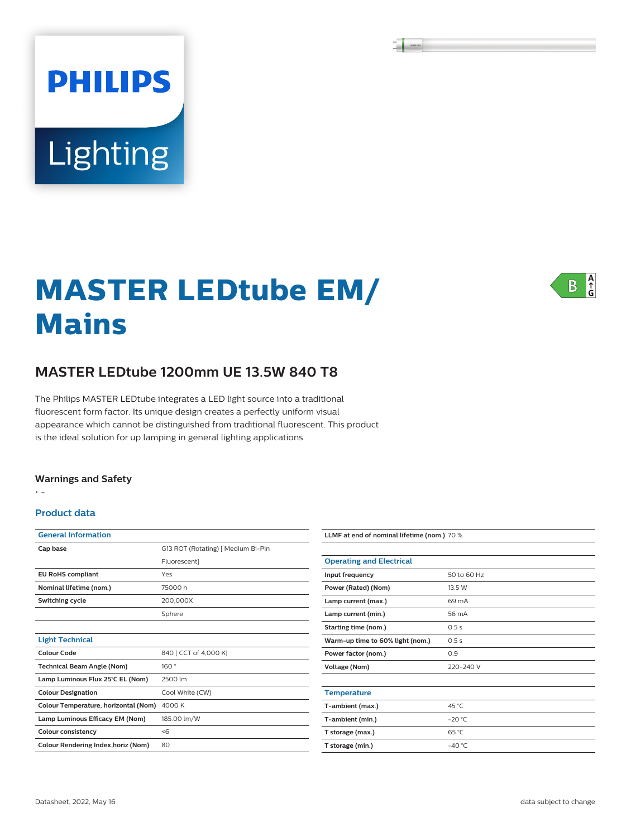# **PHILIPS** Lighting

# **MASTER LEDtube EM/ Mains**

## **MASTER LEDtube 1200mm UE 13.5W 840 T8**

The Philips MASTER LEDtube integrates a LED light source into a traditional fluorescent form factor. Its unique design creates a perfectly uniform visual appearance which cannot be distinguished from traditional fluorescent. This product is the ideal solution for up lamping in general lighting applications.

#### **Warnings and Safety**

• -

#### **Product data**

| <b>General Information</b>           |                                    |
|--------------------------------------|------------------------------------|
| Cap base                             | G13 ROT (Rotating)   Medium Bi-Pin |
|                                      | Fluorescent]                       |
| <b>EU RoHS compliant</b>             | Yes                                |
| Nominal lifetime (nom.)              | 75000 h                            |
| Switching cycle                      | 200,000X                           |
|                                      | Sphere                             |
|                                      |                                    |
| <b>Light Technical</b>               |                                    |
| Colour Code                          | 840   CCT of 4,000 K]              |
| <b>Technical Beam Angle (Nom)</b>    | 160°                               |
| Lamp Luminous Flux 25°C EL (Nom)     | 2500 lm                            |
| <b>Colour Designation</b>            | Cool White (CW)                    |
| Colour Temperature, horizontal (Nom) | 4000 K                             |
| Lamp Luminous Efficacy EM (Nom)      | 185.00 lm/W                        |
| <b>Colour consistency</b>            | < 6                                |
| Colour Rendering Index, horiz (Nom)  | 80                                 |

| LLMF at end of nominal lifetime (nom.) 70 % |             |  |  |
|---------------------------------------------|-------------|--|--|
|                                             |             |  |  |
| <b>Operating and Electrical</b>             |             |  |  |
| Input frequency                             | 50 to 60 Hz |  |  |
| Power (Rated) (Nom)                         | 13.5 W      |  |  |
| Lamp current (max.)                         | 69 mA       |  |  |
| Lamp current (min.)                         | 56 mA       |  |  |
| Starting time (nom.)                        | 0.5s        |  |  |
| Warm-up time to 60% light (nom.)            | 0.5s        |  |  |
| Power factor (nom.)                         | 0.9         |  |  |
| Voltage (Nom)                               | 220-240 V   |  |  |
|                                             |             |  |  |
| <b>Temperature</b>                          |             |  |  |
| T-ambient (max.)                            | 45 °C       |  |  |
| T-ambient (min.)                            | $-20 °C$    |  |  |
| T storage (max.)                            | 65 °C       |  |  |
| T storage (min.)                            | $-40 °C$    |  |  |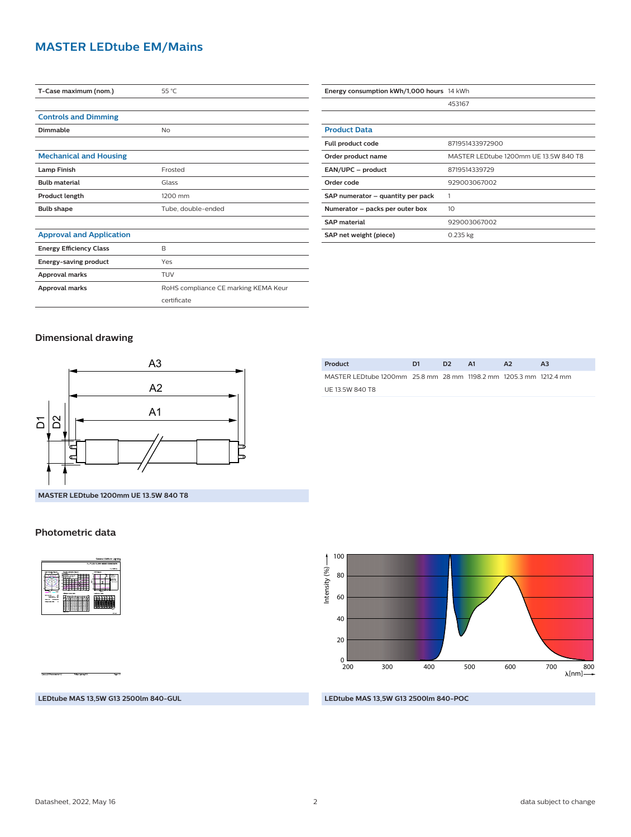#### **MASTER LEDtube EM/Mains**

| T-Case maximum (nom.)           | 55 °C                                |
|---------------------------------|--------------------------------------|
|                                 |                                      |
| <b>Controls and Dimming</b>     |                                      |
| Dimmable                        | No                                   |
|                                 |                                      |
| <b>Mechanical and Housing</b>   |                                      |
| <b>Lamp Finish</b>              | Frosted                              |
| <b>Bulb material</b>            | Glass                                |
| Product length                  | 1200 mm                              |
| <b>Bulb shape</b>               | Tube, double-ended                   |
|                                 |                                      |
| <b>Approval and Application</b> |                                      |
| <b>Energy Efficiency Class</b>  | B                                    |
| Energy-saving product           | Yes                                  |
| Approval marks                  | TUV                                  |
| Approval marks                  | RoHS compliance CE marking KEMA Keur |
|                                 | certificate                          |

| Energy consumption kWh/1,000 hours 14 kWh |                                       |
|-------------------------------------------|---------------------------------------|
|                                           | 453167                                |
|                                           |                                       |
| <b>Product Data</b>                       |                                       |
| Full product code                         | 871951433972900                       |
| Order product name                        | MASTER LEDtube 1200mm UE 13.5W 840 T8 |
| EAN/UPC - product                         | 8719514339729                         |
| Order code                                | 929003067002                          |
| SAP numerator – quantity per pack         |                                       |
| Numerator – packs per outer box           | 10                                    |
| <b>SAP</b> material                       | 929003067002                          |
| SAP net weight (piece)                    | $0.235$ kg                            |

#### **Dimensional drawing**



#### **Photometric data**

|                                                                                                                                                   |                                                                                                               | 1 x TLED 13 SW 4000K 9290030670         |
|---------------------------------------------------------------------------------------------------------------------------------------------------|---------------------------------------------------------------------------------------------------------------|-----------------------------------------|
|                                                                                                                                                   |                                                                                                               | 1 + 1500 km                             |
| <b>SECTION</b>                                                                                                                                    | <b>DOM dupons</b><br>unto minute daran<br>τ.<br><b><i>ISBNDADDAY MA</i></b><br><b><i>Longian's Total</i></b>  | -<br>.<br><b><i><u>Distance</u></i></b> |
| <b>MARCES</b><br>÷<br><b>Since press</b><br><b>Science 14</b><br><b>CONTRACTOR</b><br><b><i><u>PAKER</u></i></b><br><b>DOM BARTISTS</b><br>$\sim$ | <b>Annual Art and an american fill</b><br>==<br>.<br>==<br>==<br>c<br>----<br>≕<br><b>Tutt &amp; San Will</b> | <b>With A</b>                           |

**Product D1 D2 A1 A2 A3** MASTER LEDtube 1200mm 25.8 mm 28 mm 1198.2 mm 1205.3 mm 1212.4 mm UE 13.5W 840 T8



#### **LEDtube MAS 13,5W G13 2500lm 840-GUL**

**LEDtube MAS 13,5W G13 2500lm 840-POC**